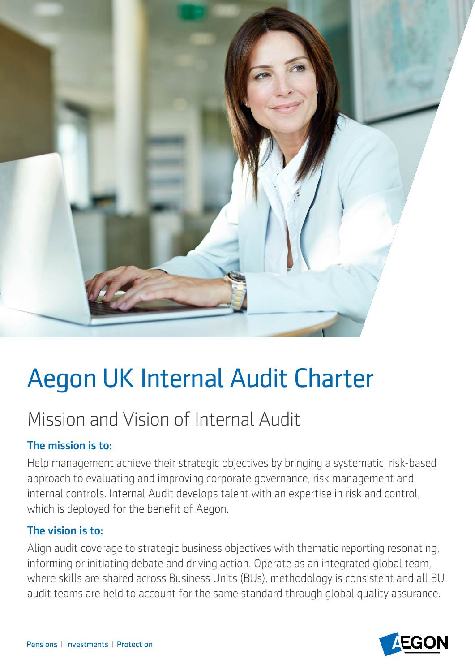

# Aegon UK Internal Audit Charter

# Mission and Vision of Internal Audit

# The mission is to:

which is deployed for the benefit of Aegon. Help management achieve their strategic objectives by bringing a systematic, risk-based approach to evaluating and improving corporate governance, risk management and internal controls. Internal Audit develops talent with an expertise in risk and control,

# The vision is to:

Align audit coverage to strategic business objectives with thematic reporting resonating, informing or initiating debate and driving action. Operate as an integrated global team, where skills are shared across Business Units (BUs), methodology is consistent and all BU audit teams are held to account for the same standard through global quality assurance.

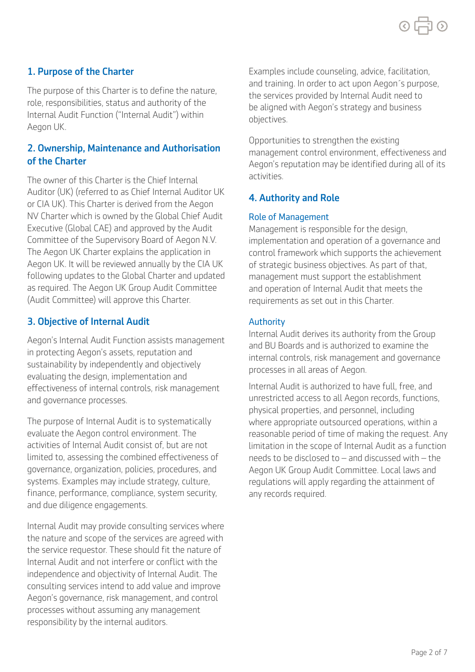# 1. Purpose of the Charter

The purpose of this Charter is to define the nature, role, responsibilities, status and authority of the Internal Audit Function ("Internal Audit") within Aegon UK.

# 2. Ownership, Maintenance and Authorisation of the Charter

The owner of this Charter is the Chief Internal Auditor (UK) (referred to as Chief Internal Auditor UK or CIA UK). This Charter is derived from the Aegon NV Charter which is owned by the Global Chief Audit Executive (Global CAE) and approved by the Audit Committee of the Supervisory Board of Aegon N.V. The Aegon UK Charter explains the application in Aegon UK. It will be reviewed annually by the CIA UK following updates to the Global Charter and updated as required. The Aegon UK Group Audit Committee (Audit Committee) will approve this Charter.

# 3. Objective of Internal Audit

Aegon's Internal Audit Function assists management in protecting Aegon's assets, reputation and sustainability by independently and objectively evaluating the design, implementation and efectiveness of internal controls, risk management and governance processes.

The purpose of Internal Audit is to systematically evaluate the Aegon control environment. The activities of Internal Audit consist of, but are not limited to, assessing the combined efectiveness of governance, organization, policies, procedures, and systems. Examples may include strategy, culture, finance, performance, compliance, system security, and due diligence engagements.

Internal Audit may provide consulting services where the nature and scope of the services are agreed with the service requestor. These should fit the nature of Internal Audit and not interfere or confict with the independence and objectivity of Internal Audit. The consulting services intend to add value and improve Aegon's governance, risk management, and control processes without assuming any management responsibility by the internal auditors.

Examples include counseling, advice, facilitation, and training. In order to act upon Aegon´s purpose, the services provided by Internal Audit need to be aligned with Aegon's strategy and business objectives.

 activities. Opportunities to strengthen the existing management control environment, efectiveness and Aegon's reputation may be identifed during all of its

# 4. Authority and Role

#### Role of Management

Management is responsible for the design, implementation and operation of a governance and control framework which supports the achievement of strategic business objectives. As part of that, management must support the establishment and operation of Internal Audit that meets the requirements as set out in this Charter.

#### Authority

Internal Audit derives its authority from the Group and BU Boards and is authorized to examine the internal controls, risk management and governance processes in all areas of Aegon.

Internal Audit is authorized to have full, free, and unrestricted access to all Aegon records, functions, physical properties, and personnel, including where appropriate outsourced operations, within a reasonable period of time of making the request. Any limitation in the scope of Internal Audit as a function needs to be disclosed to – and discussed with – the Aegon UK Group Audit Committee. Local laws and regulations will apply regarding the attainment of any records required.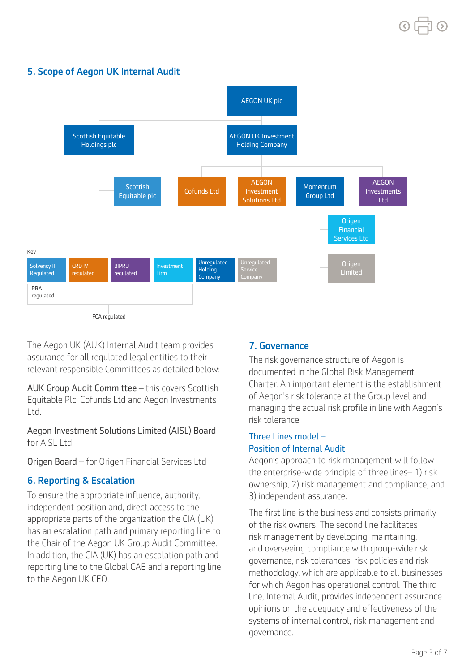# 5. Scope of Aegon UK Internal Audit



The Aegon UK (AUK) Internal Audit team provides assurance for all regulated legal entities to their relevant responsible Committees as detailed below:

AUK Group Audit Committee – this covers Scottish Equitable Plc, Cofunds Ltd and Aegon Investments Ltd.

Aegon Investment Solutions Limited (AISL) Board – for AISL Ltd

Origen Board – for Origen Financial Services Ltd

# 6. Reporting & Escalation

To ensure the appropriate infuence, authority, independent position and, direct access to the appropriate parts of the organization the CIA (UK) has an escalation path and primary reporting line to the Chair of the Aegon UK Group Audit Committee. In addition, the CIA (UK) has an escalation path and reporting line to the Global CAE and a reporting line to the Aegon UK CEO.

# 7. Governance

The risk governance structure of Aegon is documented in the Global Risk Management Charter. An important element is the establishment of Aegon's risk tolerance at the Group level and managing the actual risk profile in line with Aegon's risk tolerance.

# Three Lines model – Position of Internal Audit

Aegon's approach to risk management will follow the enterprise-wide principle of three lines– 1) risk ownership, 2) risk management and compliance, and 3) independent assurance.

The first line is the business and consists primarily of the risk owners. The second line facilitates risk management by developing, maintaining, and overseeing compliance with group-wide risk governance, risk tolerances, risk policies and risk methodology, which are applicable to all businesses for which Aegon has operational control. The third line, Internal Audit, provides independent assurance opinions on the adequacy and efectiveness of the systems of internal control, risk management and governance.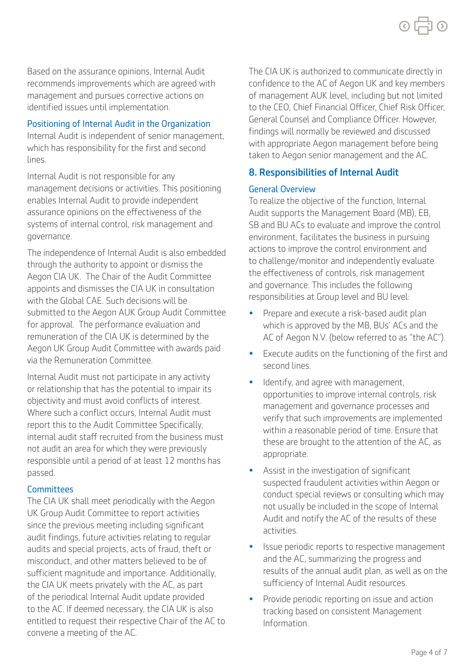Based on the assurance opinions, Internal Audit recommends improvements which are agreed with management and pursues corrective actions on identifed issues until implementation.

## Positioning of Internal Audit in the Organization

Internal Audit is independent of senior management, which has responsibility for the first and second lines.

Internal Audit is not responsible for any management decisions or activities. This positioning enables Internal Audit to provide independent assurance opinions on the efectiveness of the systems of internal control, risk management and governance.

via the Remuneration Committee. The independence of Internal Audit is also embedded through the authority to appoint or dismiss the Aegon CIA UK. The Chair of the Audit Committee appoints and dismisses the CIA UK in consultation with the Global CAE. Such decisions will be submitted to the Aegon AUK Group Audit Committee for approval. The performance evaluation and remuneration of the CIA UK is determined by the Aegon UK Group Audit Committee with awards paid

Internal Audit must not participate in any activity or relationship that has the potential to impair its objectivity and must avoid conficts of interest. Where such a confict occurs, Internal Audit must report this to the Audit Committee Specifically. internal audit staff recruited from the business must not audit an area for which they were previously responsible until a period of at least 12 months has passed.

# **Committees**

The CIA UK shall meet periodically with the Aegon UK Group Audit Committee to report activities since the previous meeting including significant audit findings, future activities relating to regular audits and special projects, acts of fraud, theft or misconduct, and other matters believed to be of sufficient magnitude and importance. Additionally, the CIA UK meets privately with the AC, as part of the periodical Internal Audit update provided to the AC. If deemed necessary, the CIA UK is also entitled to request their respective Chair of the AC to convene a meeting of the AC.

The CIA UK is authorized to communicate directly in confidence to the AC of Aegon UK and key members of management AUK level, including but not limited to the CEO, Chief Financial Officer, Chief Risk Officer, General Counsel and Compliance Officer. However, findings will normally be reviewed and discussed with appropriate Aegon management before being taken to Aegon senior management and the AC.

# 8. Responsibilities of Internal Audit

### General Overview

To realize the objective of the function, Internal Audit supports the Management Board (MB), EB, SB and BU ACs to evaluate and improve the control environment, facilitates the business in pursuing actions to improve the control environment and to challenge/monitor and independently evaluate the effectiveness of controls, risk management and governance. This includes the following responsibilities at Group level and BU level:

- Prepare and execute a risk-based audit plan which is approved by the MB, BUs' ACs and the AC of Aegon N.V. (below referred to as "the AC").
- Execute audits on the functioning of the first and second lines.
- Identify, and agree with management, opportunities to improve internal controls, risk management and governance processes and verify that such improvements are implemented within a reasonable period of time. Ensure that these are brought to the attention of the AC, as appropriate.
- Assist in the investigation of significant suspected fraudulent activities within Aegon or conduct special reviews or consulting which may not usually be included in the scope of Internal Audit and notify the AC of the results of these activities.
- Issue periodic reports to respective management and the AC, summarizing the progress and results of the annual audit plan, as well as on the sufficiency of Internal Audit resources.
- Provide periodic reporting on issue and action tracking based on consistent Management Information.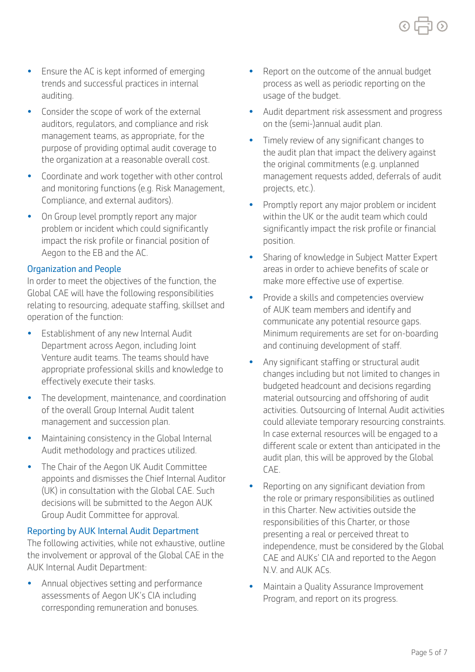Page 5 of 7

- Ensure the AC is kept informed of emerging trends and successful practices in internal auditing.
- Consider the scope of work of the external auditors, regulators, and compliance and risk management teams, as appropriate, for the purpose of providing optimal audit coverage to the organization at a reasonable overall cost.
- Coordinate and work together with other control and monitoring functions (e.g. Risk Management, Compliance, and external auditors).
- On Group level promptly report any major problem or incident which could significantly impact the risk profile or financial position of Aegon to the EB and the AC.

### Organization and People

In order to meet the objectives of the function, the Global CAE will have the following responsibilities relating to resourcing, adequate staffing, skillset and operation of the function:

- Establishment of any new Internal Audit Department across Aegon, including Joint Venture audit teams. The teams should have appropriate professional skills and knowledge to effectively execute their tasks.
- The development, maintenance, and coordination of the overall Group Internal Audit talent management and succession plan.
- Maintaining consistency in the Global Internal Audit methodology and practices utilized.
- The Chair of the Aegon UK Audit Committee appoints and dismisses the Chief Internal Auditor (UK) in consultation with the Global CAE. Such decisions will be submitted to the Aegon AUK Group Audit Committee for approval.

# Reporting by AUK Internal Audit Department

The following activities, while not exhaustive, outline the involvement or approval of the Global CAE in the AUK Internal Audit Department:

• Annual objectives setting and performance assessments of Aegon UK's CIA including corresponding remuneration and bonuses.

- Report on the outcome of the annual budget process as well as periodic reporting on the usage of the budget.
- Audit department risk assessment and progress on the (semi-)annual audit plan.
- Timely review of any significant changes to the audit plan that impact the delivery against the original commitments (e.g. unplanned management requests added, deferrals of audit projects, etc.).
- Promptly report any major problem or incident within the UK or the audit team which could significantly impact the risk profile or financial position.
- Sharing of knowledge in Subject Matter Expert areas in order to achieve benefits of scale or make more efective use of expertise.
- Provide a skills and competencies overview of AUK team members and identify and communicate any potential resource gaps. Minimum requirements are set for on-boarding and continuing development of staff.
- Any significant staffing or structural audit changes including but not limited to changes in budgeted headcount and decisions regarding material outsourcing and ofshoring of audit activities. Outsourcing of Internal Audit activities could alleviate temporary resourcing constraints. In case external resources will be engaged to a diferent scale or extent than anticipated in the audit plan, this will be approved by the Global CAE.
- Reporting on any significant deviation from the role or primary responsibilities as outlined in this Charter. New activities outside the responsibilities of this Charter, or those presenting a real or perceived threat to independence, must be considered by the Global CAE and AUKs' CIA and reported to the Aegon N.V. and AUK ACs.
- Maintain a Quality Assurance Improvement Program, and report on its progress.

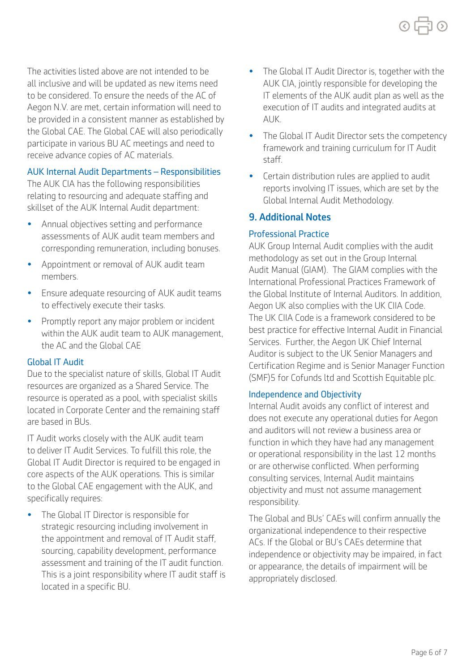The activities listed above are not intended to be all inclusive and will be updated as new items need to be considered. To ensure the needs of the AC of Aegon N.V. are met, certain information will need to be provided in a consistent manner as established by the Global CAE. The Global CAE will also periodically participate in various BU AC meetings and need to receive advance copies of AC materials.

# AUK Internal Audit Departments – Responsibilities

The AUK CIA has the following responsibilities relating to resourcing and adequate staffing and skillset of the AUK Internal Audit department:

- Annual objectives setting and performance assessments of AUK audit team members and corresponding remuneration, including bonuses.
- Appointment or removal of AUK audit team members.
- Ensure adequate resourcing of AUK audit teams to effectively execute their tasks.
- Promptly report any major problem or incident within the AUK audit team to AUK management, the AC and the Global CAE

# Global IT Audit

Due to the specialist nature of skills, Global IT Audit resources are organized as a Shared Service. The resource is operated as a pool, with specialist skills located in Corporate Center and the remaining staf are based in BUs.

IT Audit works closely with the AUK audit team to deliver IT Audit Services. To fulfill this role, the Global IT Audit Director is required to be engaged in core aspects of the AUK operations. This is similar to the Global CAE engagement with the AUK, and specifically requires:

• The Global IT Director is responsible for strategic resourcing including involvement in the appointment and removal of IT Audit staf, sourcing, capability development, performance assessment and training of the IT audit function. This is a joint responsibility where IT audit staff is located in a specific BU.

- The Global IT Audit Director is, together with the AUK CIA, jointly responsible for developing the IT elements of the AUK audit plan as well as the execution of IT audits and integrated audits at AUK.
- The Global IT Audit Director sets the competency framework and training curriculum for IT Audit staf.
- Certain distribution rules are applied to audit reports involving IT issues, which are set by the Global Internal Audit Methodology.

# 9. Additional Notes

# Professional Practice

 Aegon UK also complies with the UK CIIA Code. AUK Group Internal Audit complies with the audit methodology as set out in the Group Internal Audit Manual (GIAM). The GIAM complies with the International Professional Practices Framework of the Global Institute of Internal Auditors. In addition, The UK CIIA Code is a framework considered to be best practice for effective Internal Audit in Financial Services. Further, the Aegon UK Chief Internal Auditor is subject to the UK Senior Managers and Certifcation Regime and is Senior Manager Function (SMF)5 for Cofunds ltd and Scottish Equitable plc.

# Independence and Objectivity

Internal Audit avoids any confict of interest and does not execute any operational duties for Aegon and auditors will not review a business area or function in which they have had any management or operational responsibility in the last 12 months or are otherwise conficted. When performing consulting services, Internal Audit maintains objectivity and must not assume management responsibility.

The Global and BUs' CAEs will confrm annually the organizational independence to their respective ACs. If the Global or BU's CAEs determine that independence or objectivity may be impaired, in fact or appearance, the details of impairment will be appropriately disclosed.